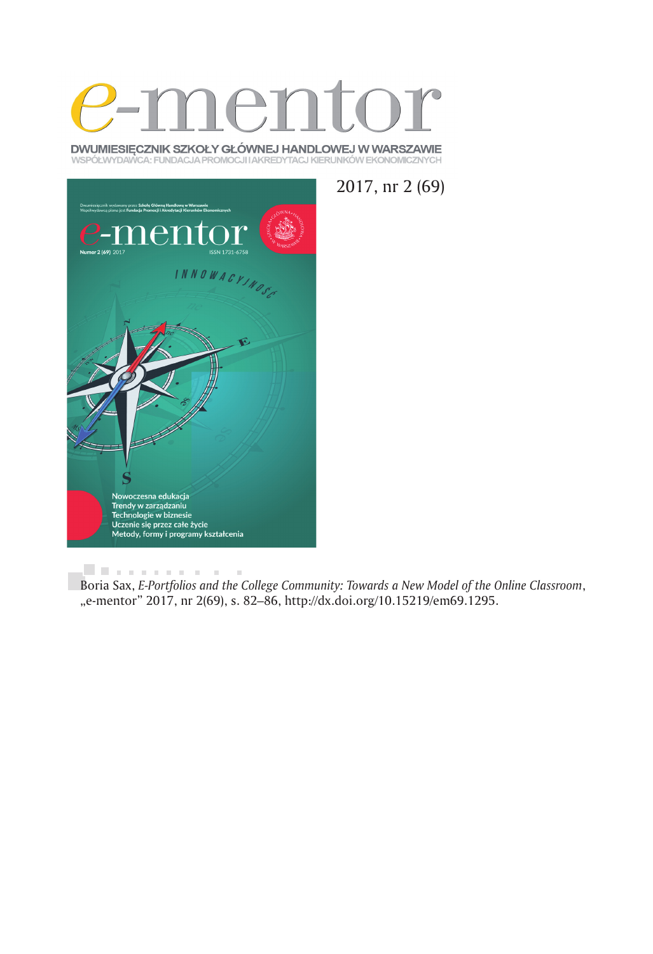

DWUMIESIĘCZNIK SZKOŁY GŁÓWNEJ HANDLOWEJ W WARSZAWIE WSPÓŁWYDAWCA: FUNDACJA PROMOCJI IAKREDYTACJ KIERUNKÓW EKONOMICZNYCH

2017, nr 2 (69)



. . . . . . . . . . .  $\sim$  10  $\,$ Boria Sax, *E-Portfolios and the College Community: Towards a New Model of the Online Classroom*, "e-mentor" 2017, nr 2(69), s. 82–86, http://dx.doi.org/10.15219/em69.1295.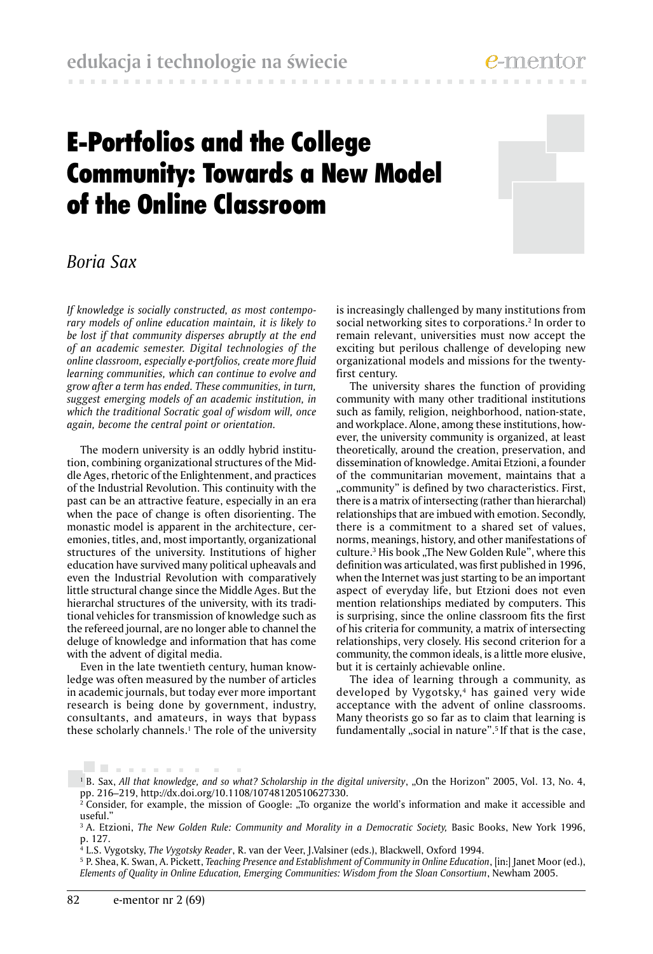**Contractor** 

# E-Portfolios and the College Community: Towards a New Model of the Online Classroom



## *Boria Sax*

*If knowledge is socially constructed, as most contemporary models of online education maintain, it is likely to be lost if that community disperses abruptly at the end of an academic semester. Digital technologies of the online classroom, especially e-portfolios, create more fluid learning communities, which can continue to evolve and grow after a term has ended. These communities, in turn, suggest emerging models of an academic institution, in which the traditional Socratic goal of wisdom will, once again, become the central point or orientation.*

The modern university is an oddly hybrid institution, combining organizational structures of the Middle Ages, rhetoric of the Enlightenment, and practices of the Industrial Revolution. This continuity with the past can be an attractive feature, especially in an era when the pace of change is often disorienting. The monastic model is apparent in the architecture, ceremonies, titles, and, most importantly, organizational structures of the university. Institutions of higher education have survived many political upheavals and even the Industrial Revolution with comparatively little structural change since the Middle Ages. But the hierarchal structures of the university, with its traditional vehicles for transmission of knowledge such as the refereed journal, are no longer able to channel the deluge of knowledge and information that has come with the advent of digital media.

Even in the late twentieth century, human knowledge was often measured by the number of articles in academic journals, but today ever more important research is being done by government, industry, consultants, and amateurs, in ways that bypass these scholarly channels.1 The role of the university is increasingly challenged by many institutions from social networking sites to corporations.<sup>2</sup> In order to remain relevant, universities must now accept the exciting but perilous challenge of developing new organizational models and missions for the twentyfirst century.

The university shares the function of providing community with many other traditional institutions such as family, religion, neighborhood, nation-state, and workplace. Alone, among these institutions, however, the university community is organized, at least theoretically, around the creation, preservation, and dissemination of knowledge. Amitai Etzioni, a founder of the communitarian movement, maintains that a "community" is defined by two characteristics. First, there is a matrix of intersecting (rather than hierarchal) relationships that are imbued with emotion. Secondly, there is a commitment to a shared set of values, norms, meanings, history, and other manifestations of culture.<sup>3</sup> His book "The New Golden Rule", where this definition was articulated, was first published in 1996, when the Internet was just starting to be an important aspect of everyday life, but Etzioni does not even mention relationships mediated by computers. This is surprising, since the online classroom fits the first of his criteria for community, a matrix of intersecting relationships, very closely. His second criterion for a community, the common ideals, is a little more elusive, but it is certainly achievable online.

The idea of learning through a community, as developed by Vygotsky,<sup>4</sup> has gained very wide acceptance with the advent of online classrooms. Many theorists go so far as to claim that learning is fundamentally "social in nature".<sup>5</sup> If that is the case,

. . . . . . . . . . .

<sup>&</sup>lt;sup>1</sup> B. Sax, *All that knowledge, and so what? Scholarship in the digital university, "On the Horizon" 2005, Vol. 13, No. 4,* pp. 216–219, http://dx.doi.org/10.1108/10748120510627330.

 $2^2$  Consider, for example, the mission of Google: "To organize the world's information and make it accessible and useful."

<sup>&</sup>lt;sup>3</sup> A. Etzioni, *The New Golden Rule: Community and Morality in a Democratic Society, Basic Books, New York 1996,* p. 127.

<sup>4</sup> L.S. Vygotsky, *The Vygotsky Reader*, R. van der Veer, J.Valsiner (eds.), Blackwell, Oxford 1994.

<sup>5</sup> P. Shea, K. Swan, A. Pickett, *Teaching Presence and Establishment of Community in Online Education*, [in:] Janet Moor (ed.), *Elements of Quality in Online Education, Emerging Communities: Wisdom from the Sloan Consortium*, Newham 2005.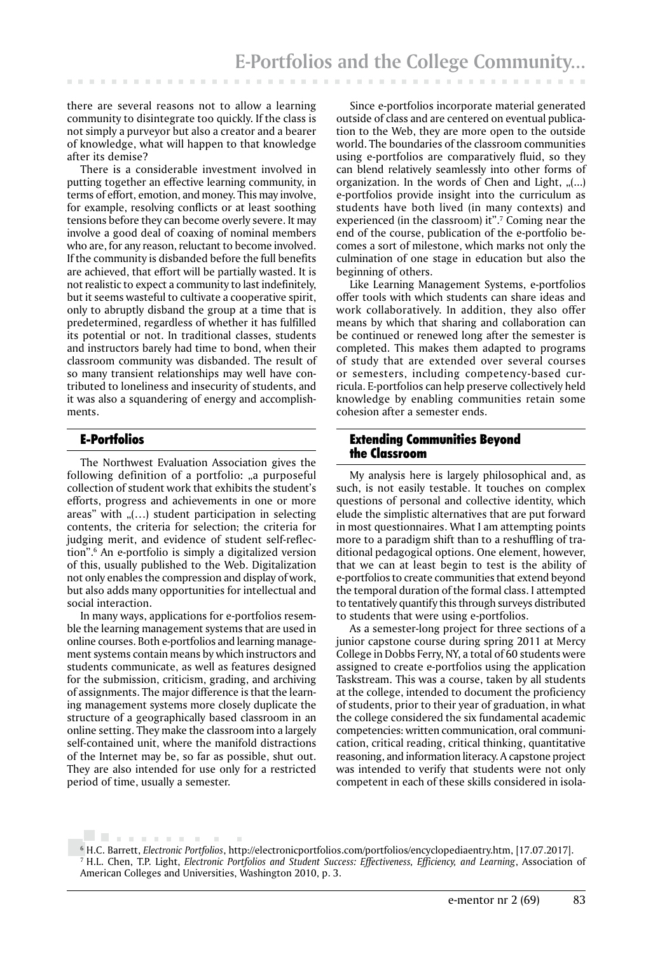there are several reasons not to allow a learning community to disintegrate too quickly. If the class is not simply a purveyor but also a creator and a bearer of knowledge, what will happen to that knowledge after its demise?

There is a considerable investment involved in putting together an effective learning community, in terms of effort, emotion, and money. This may involve, for example, resolving conflicts or at least soothing tensions before they can become overly severe. It may involve a good deal of coaxing of nominal members who are, for any reason, reluctant to become involved. If the community is disbanded before the full benefits are achieved, that effort will be partially wasted. It is not realistic to expect a community to last indefinitely, but it seems wasteful to cultivate a cooperative spirit, only to abruptly disband the group at a time that is predetermined, regardless of whether it has fulfilled its potential or not. In traditional classes, students and instructors barely had time to bond, when their classroom community was disbanded. The result of so many transient relationships may well have contributed to loneliness and insecurity of students, and it was also a squandering of energy and accomplishments.

## E-Portfolios

The Northwest Evaluation Association gives the following definition of a portfolio: "a purposeful collection of student work that exhibits the student's efforts, progress and achievements in one or more areas" with  $($ ...) student participation in selecting contents, the criteria for selection; the criteria for judging merit, and evidence of student self-reflection".6 An e-portfolio is simply a digitalized version of this, usually published to the Web. Digitalization not only enables the compression and display of work, but also adds many opportunities for intellectual and social interaction.

In many ways, applications for e-portfolios resemble the learning management systems that are used in online courses. Both e-portfolios and learning management systems contain means by which instructors and students communicate, as well as features designed for the submission, criticism, grading, and archiving of assignments. The major difference is that the learning management systems more closely duplicate the structure of a geographically based classroom in an online setting. They make the classroom into a largely self-contained unit, where the manifold distractions of the Internet may be, so far as possible, shut out. They are also intended for use only for a restricted period of time, usually a semester.

Since e-portfolios incorporate material generated outside of class and are centered on eventual publication to the Web, they are more open to the outside world. The boundaries of the classroom communities using e-portfolios are comparatively fluid, so they can blend relatively seamlessly into other forms of organization. In the words of Chen and Light,  $(...)$ e-portfolios provide insight into the curriculum as students have both lived (in many contexts) and experienced (in the classroom) it".7 Coming near the end of the course, publication of the e-portfolio becomes a sort of milestone, which marks not only the culmination of one stage in education but also the beginning of others.

Like Learning Management Systems, e-portfolios offer tools with which students can share ideas and work collaboratively. In addition, they also offer means by which that sharing and collaboration can be continued or renewed long after the semester is completed. This makes them adapted to programs of study that are extended over several courses or semesters, including competency-based curricula. E-portfolios can help preserve collectively held knowledge by enabling communities retain some cohesion after a semester ends.

## Extending Communities Beyond the Classroom

My analysis here is largely philosophical and, as such, is not easily testable. It touches on complex questions of personal and collective identity, which elude the simplistic alternatives that are put forward in most questionnaires. What I am attempting points more to a paradigm shift than to a reshuffling of traditional pedagogical options. One element, however, that we can at least begin to test is the ability of e-portfolios to create communities that extend beyond the temporal duration of the formal class. I attempted to tentatively quantify this through surveys distributed to students that were using e-portfolios.

As a semester-long project for three sections of a junior capstone course during spring 2011 at Mercy College in Dobbs Ferry, NY, a total of 60 students were assigned to create e-portfolios using the application Taskstream. This was a course, taken by all students at the college, intended to document the proficiency of students, prior to their year of graduation, in what the college considered the six fundamental academic competencies: written communication, oral communication, critical reading, critical thinking, quantitative reasoning, and information literacy. A capstone project was intended to verify that students were not only competent in each of these skills considered in isola-

<sup>. . . . . . . . .</sup> 6 H.C. Barrett, *Electronic Portfolios*, http://electronicportfolios.com/portfolios/encyclopediaentry.htm, [17.07.2017]. 7 H.L. Chen, T.P. Light, *Electronic Portfolios and Student Success: Effectiveness, Efficiency, and Learning*, Association of American Colleges and Universities, Washington 2010, p. 3.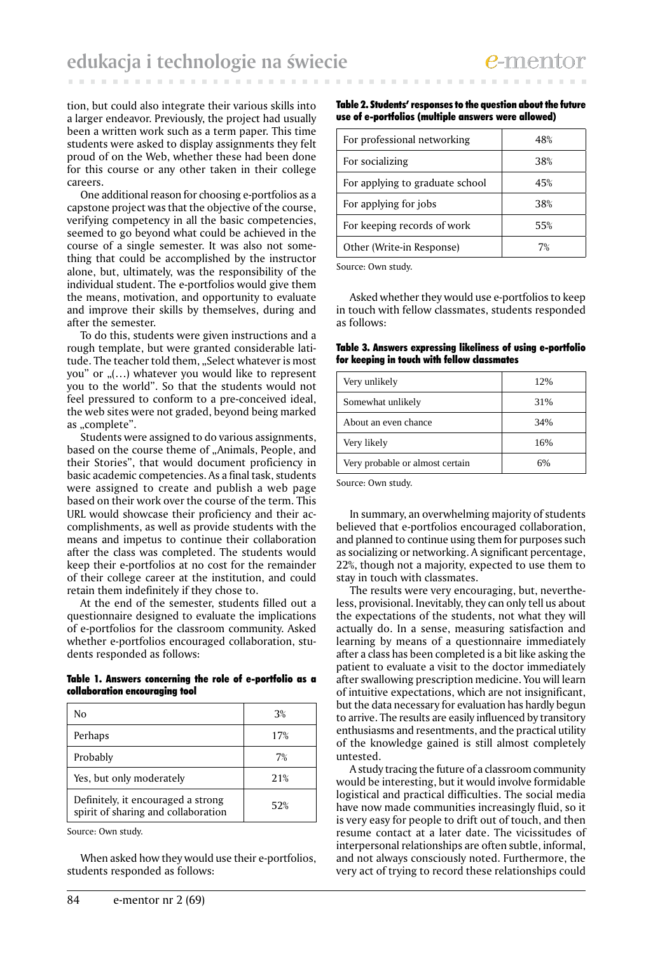tion, but could also integrate their various skills into a larger endeavor. Previously, the project had usually been a written work such as a term paper. This time students were asked to display assignments they felt proud of on the Web, whether these had been done for this course or any other taken in their college careers.

One additional reason for choosing e-portfolios as a capstone project was that the objective of the course, verifying competency in all the basic competencies, seemed to go beyond what could be achieved in the course of a single semester. It was also not something that could be accomplished by the instructor alone, but, ultimately, was the responsibility of the individual student. The e-portfolios would give them the means, motivation, and opportunity to evaluate and improve their skills by themselves, during and after the semester.

To do this, students were given instructions and a rough template, but were granted considerable latitude. The teacher told them, "Select whatever is most you" or  $($ ...) whatever you would like to represent you to the world". So that the students would not feel pressured to conform to a pre-conceived ideal, the web sites were not graded, beyond being marked as "complete".

Students were assigned to do various assignments, based on the course theme of "Animals, People, and their Stories", that would document proficiency in basic academic competencies. As a final task, students were assigned to create and publish a web page based on their work over the course of the term. This URL would showcase their proficiency and their accomplishments, as well as provide students with the means and impetus to continue their collaboration after the class was completed. The students would keep their e-portfolios at no cost for the remainder of their college career at the institution, and could retain them indefinitely if they chose to.

At the end of the semester, students filled out a questionnaire designed to evaluate the implications of e-portfolios for the classroom community. Asked whether e-portfolios encouraged collaboration, students responded as follows:

### Table 1. Answers concerning the role of e-portfolio as a collaboration encouraging tool

| No                                                                        | 3%  |
|---------------------------------------------------------------------------|-----|
| Perhaps                                                                   | 17% |
| Probably                                                                  | 7%  |
| Yes, but only moderately                                                  | 21% |
| Definitely, it encouraged a strong<br>spirit of sharing and collaboration | 52% |

Source: Own study.

When asked how they would use their e-portfolios, students responded as follows:

#### Table 2. Students' responses to the question about the future use of e-portfolios (multiple answers were allowed)

| For professional networking     | 48% |
|---------------------------------|-----|
| For socializing                 | 38% |
| For applying to graduate school | 45% |
| For applying for jobs           | 38% |
| For keeping records of work     | 55% |
| Other (Write-in Response)       | 7%  |

Source: Own study.

Asked whether they would use e-portfolios to keep in touch with fellow classmates, students responded as follows:

Table 3. Answers expressing likeliness of using e-portfolio for keeping in touch with fellow classmates

| Very unlikely                   | 12% |
|---------------------------------|-----|
| Somewhat unlikely               | 31% |
| About an even chance            | 34% |
| Very likely                     | 16% |
| Very probable or almost certain | 6%  |

Source: Own study.

In summary, an overwhelming majority of students believed that e-portfolios encouraged collaboration, and planned to continue using them for purposes such as socializing or networking. A significant percentage, 22%, though not a majority, expected to use them to stay in touch with classmates.

The results were very encouraging, but, nevertheless, provisional. Inevitably, they can only tell us about the expectations of the students, not what they will actually do. In a sense, measuring satisfaction and learning by means of a questionnaire immediately after a class has been completed is a bit like asking the patient to evaluate a visit to the doctor immediately after swallowing prescription medicine. You will learn of intuitive expectations, which are not insignificant, but the data necessary for evaluation has hardly begun to arrive. The results are easily influenced by transitory enthusiasms and resentments, and the practical utility of the knowledge gained is still almost completely untested.

A study tracing the future of a classroom community would be interesting, but it would involve formidable logistical and practical difficulties. The social media have now made communities increasingly fluid, so it is very easy for people to drift out of touch, and then resume contact at a later date. The vicissitudes of interpersonal relationships are often subtle, informal, and not always consciously noted. Furthermore, the very act of trying to record these relationships could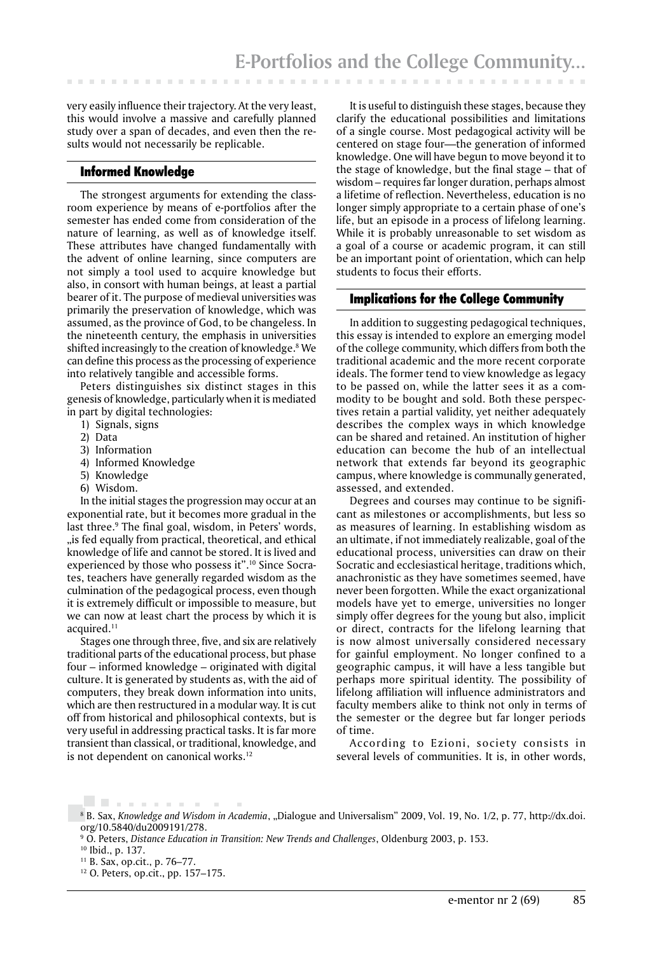very easily influence their trajectory. At the very least, this would involve a massive and carefully planned study over a span of decades, and even then the results would not necessarily be replicable.

## Informed Knowledge

The strongest arguments for extending the classroom experience by means of e-portfolios after the semester has ended come from consideration of the nature of learning, as well as of knowledge itself. These attributes have changed fundamentally with the advent of online learning, since computers are not simply a tool used to acquire knowledge but also, in consort with human beings, at least a partial bearer of it. The purpose of medieval universities was primarily the preservation of knowledge, which was assumed, as the province of God, to be changeless. In the nineteenth century, the emphasis in universities shifted increasingly to the creation of knowledge.8 We can define this process as the processing of experience into relatively tangible and accessible forms.

Peters distinguishes six distinct stages in this genesis of knowledge, particularly when it is mediated in part by digital technologies:

- 1) Signals, signs
- 2) Data
- 3) Information
- 4) Informed Knowledge
- 5) Knowledge
- 6) Wisdom.

In the initial stages the progression may occur at an exponential rate, but it becomes more gradual in the last three.9 The final goal, wisdom, in Peters' words, "is fed equally from practical, theoretical, and ethical knowledge of life and cannot be stored. It is lived and experienced by those who possess it".10 Since Socrates, teachers have generally regarded wisdom as the culmination of the pedagogical process, even though it is extremely difficult or impossible to measure, but we can now at least chart the process by which it is acquired.<sup>11</sup>

Stages one through three, five, and six are relatively traditional parts of the educational process, but phase four – informed knowledge – originated with digital culture. It is generated by students as, with the aid of computers, they break down information into units, which are then restructured in a modular way. It is cut off from historical and philosophical contexts, but is very useful in addressing practical tasks. It is far more transient than classical, or traditional, knowledge, and is not dependent on canonical works.<sup>12</sup>

It is useful to distinguish these stages, because they clarify the educational possibilities and limitations of a single course. Most pedagogical activity will be centered on stage four—the generation of informed knowledge. One will have begun to move beyond it to the stage of knowledge, but the final stage – that of wisdom – requires far longer duration, perhaps almost a lifetime of reflection. Nevertheless, education is no longer simply appropriate to a certain phase of one's life, but an episode in a process of lifelong learning. While it is probably unreasonable to set wisdom as a goal of a course or academic program, it can still be an important point of orientation, which can help students to focus their efforts.

## Implications for the College Community

In addition to suggesting pedagogical techniques, this essay is intended to explore an emerging model of the college community, which differs from both the traditional academic and the more recent corporate ideals. The former tend to view knowledge as legacy to be passed on, while the latter sees it as a commodity to be bought and sold. Both these perspectives retain a partial validity, yet neither adequately describes the complex ways in which knowledge can be shared and retained. An institution of higher education can become the hub of an intellectual network that extends far beyond its geographic campus, where knowledge is communally generated, assessed, and extended.

Degrees and courses may continue to be significant as milestones or accomplishments, but less so as measures of learning. In establishing wisdom as an ultimate, if not immediately realizable, goal of the educational process, universities can draw on their Socratic and ecclesiastical heritage, traditions which, anachronistic as they have sometimes seemed, have never been forgotten. While the exact organizational models have yet to emerge, universities no longer simply offer degrees for the young but also, implicit or direct, contracts for the lifelong learning that is now almost universally considered necessary for gainful employment. No longer confined to a geographic campus, it will have a less tangible but perhaps more spiritual identity. The possibility of lifelong affiliation will influence administrators and faculty members alike to think not only in terms of the semester or the degree but far longer periods of time.

According to Ezioni, society consists in several levels of communities. It is, in other words,

<sup>&</sup>lt;u>. Barraman</u> 8 B. Sax, *Knowledge and Wisdom in Academia*, "Dialogue and Universalism" 2009, Vol. 19, No. 1/2, p. 77, http://dx.doi. org/10.5840/du2009191/278.

<sup>9</sup> O. Peters, *Distance Education in Transition: New Trends and Challenges*, Oldenburg 2003, p. 153.

<sup>10</sup> Ibid., p. 137.

<sup>11</sup> B. Sax, op.cit., p. 76–77.

<sup>12</sup> O. Peters, op.cit., pp. 157–175.